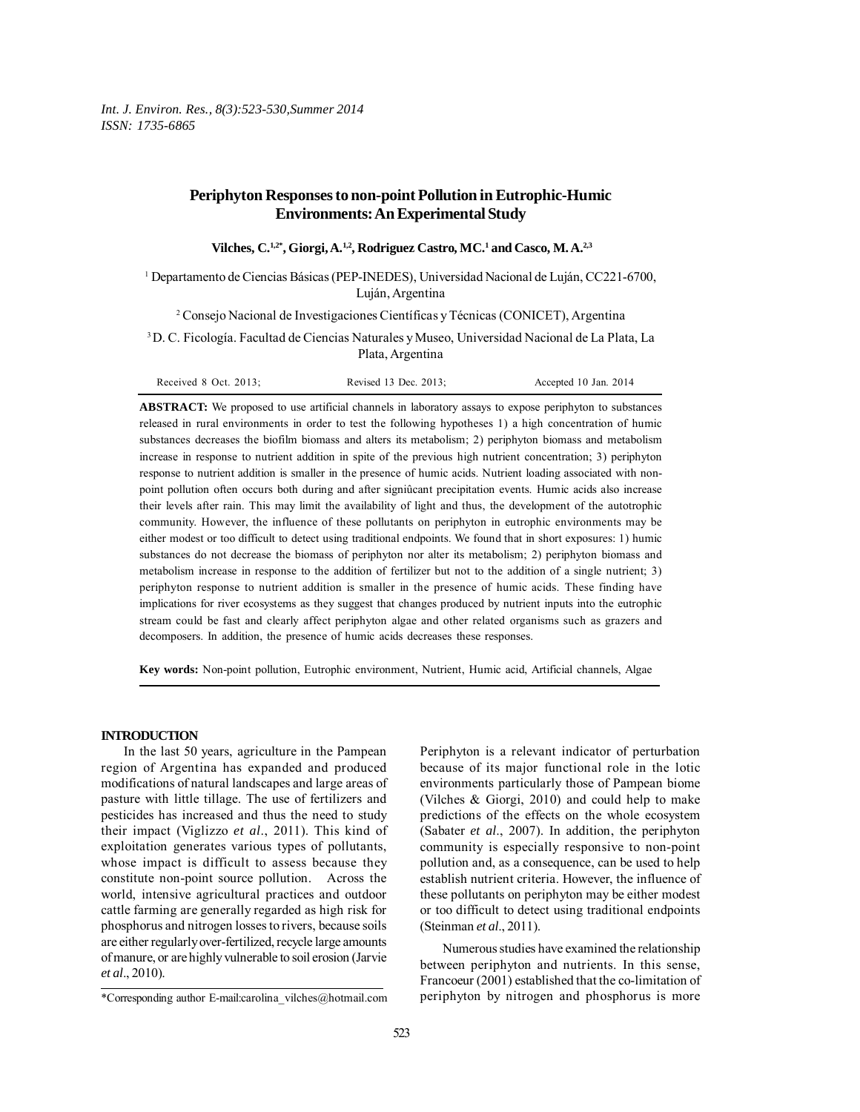# **Periphyton Responses to non-point Pollution in Eutrophic-Humic Environments: An Experimental Study**

**Vilches, C.1,2\*, Giorgi, A.1,2, Rodriguez Castro, MC.1 and Casco, M. A.2,3**

1 Departamento de Ciencias Básicas (PEP-INEDES), Universidad Nacional de Luján, CC221-6700, Luján, Argentina

2 Consejo Nacional de Investigaciones Científicas y Técnicas (CONICET), Argentina

3 D. C. Ficología. Facultad de Ciencias Naturales y Museo, Universidad Nacional de La Plata, La Plata, Argentina

**ABSTRACT:** We proposed to use artificial channels in laboratory assays to expose periphyton to substances released in rural environments in order to test the following hypotheses 1) a high concentration of humic substances decreases the biofilm biomass and alters its metabolism; 2) periphyton biomass and metabolism increase in response to nutrient addition in spite of the previous high nutrient concentration; 3) periphyton response to nutrient addition is smaller in the presence of humic acids. Nutrient loading associated with nonpoint pollution often occurs both during and after signiûcant precipitation events. Humic acids also increase their levels after rain. This may limit the availability of light and thus, the development of the autotrophic community. However, the influence of these pollutants on periphyton in eutrophic environments may be either modest or too difficult to detect using traditional endpoints. We found that in short exposures: 1) humic substances do not decrease the biomass of periphyton nor alter its metabolism; 2) periphyton biomass and metabolism increase in response to the addition of fertilizer but not to the addition of a single nutrient; 3) periphyton response to nutrient addition is smaller in the presence of humic acids. These finding have implications for river ecosystems as they suggest that changes produced by nutrient inputs into the eutrophic stream could be fast and clearly affect periphyton algae and other related organisms such as grazers and decomposers. In addition, the presence of humic acids decreases these responses.

**Key words:** Non-point pollution, Eutrophic environment, Nutrient, Humic acid, Artificial channels, Algae

## **INTRODUCTION**

In the last 50 years, agriculture in the Pampean region of Argentina has expanded and produced modifications of natural landscapes and large areas of pasture with little tillage. The use of fertilizers and pesticides has increased and thus the need to study their impact (Viglizzo *et al*., 2011). This kind of exploitation generates various types of pollutants, whose impact is difficult to assess because they constitute non-point source pollution. Across the world, intensive agricultural practices and outdoor cattle farming are generally regarded as high risk for phosphorus and nitrogen losses to rivers, because soils are either regularly over-fertilized, recycle large amounts of manure, or are highly vulnerable to soil erosion (Jarvie *et al*., 2010).

Periphyton is a relevant indicator of perturbation because of its major functional role in the lotic environments particularly those of Pampean biome (Vilches & Giorgi, 2010) and could help to make predictions of the effects on the whole ecosystem (Sabater *et al*., 2007). In addition, the periphyton community is especially responsive to non-point pollution and, as a consequence, can be used to help establish nutrient criteria. However, the influence of these pollutants on periphyton may be either modest or too difficult to detect using traditional endpoints (Steinman *et al*., 2011).

Numerous studies have examined the relationship between periphyton and nutrients. In this sense, Francoeur (2001) established that the co-limitation of periphyton by nitrogen and phosphorus is more

<sup>\*</sup>Corresponding author E-mail:carolina\_vilches@hotmail.com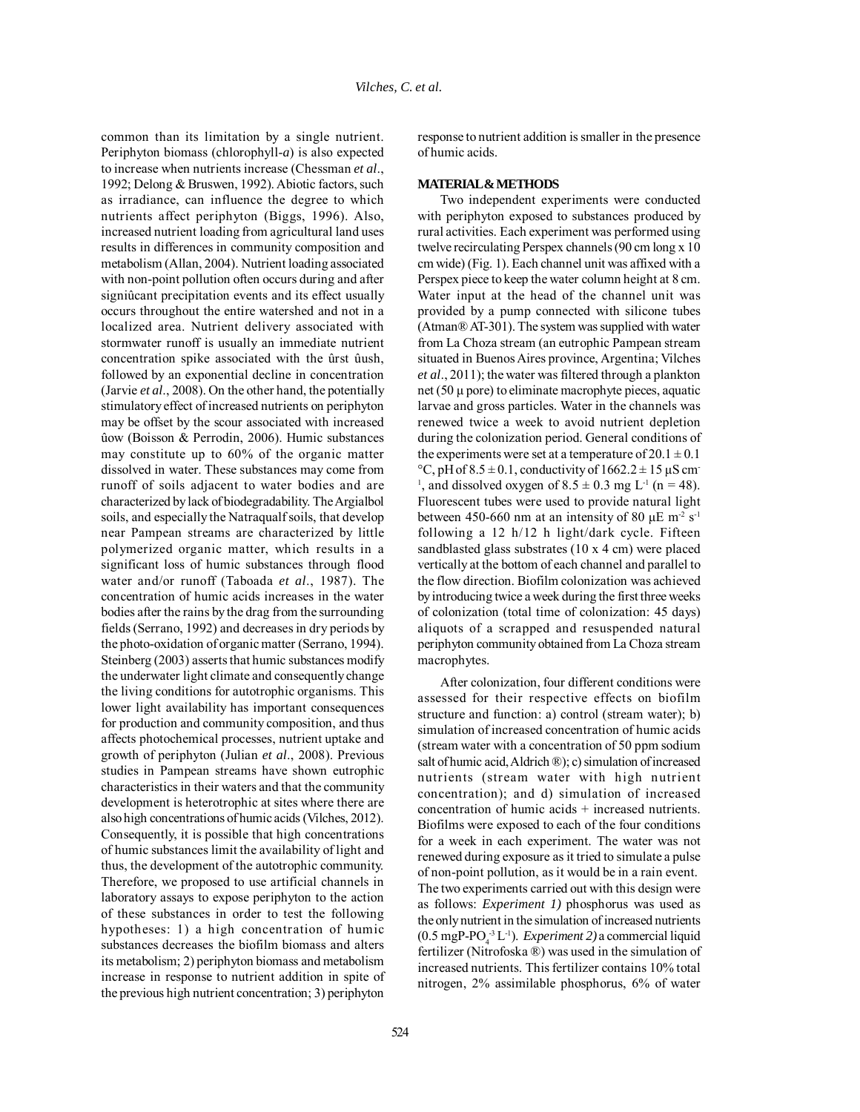common than its limitation by a single nutrient. Periphyton biomass (chlorophyll-*a*) is also expected to increase when nutrients increase (Chessman *et al*., 1992; Delong & Bruswen, 1992). Abiotic factors, such as irradiance, can influence the degree to which nutrients affect periphyton (Biggs, 1996). Also, increased nutrient loading from agricultural land uses results in differences in community composition and metabolism (Allan, 2004). Nutrient loading associated with non-point pollution often occurs during and after signiûcant precipitation events and its effect usually occurs throughout the entire watershed and not in a localized area. Nutrient delivery associated with stormwater runoff is usually an immediate nutrient concentration spike associated with the ûrst ûush, followed by an exponential decline in concentration (Jarvie *et al*., 2008). On the other hand, the potentially stimulatory effect of increased nutrients on periphyton may be offset by the scour associated with increased ûow (Boisson & Perrodin, 2006). Humic substances may constitute up to 60% of the organic matter dissolved in water. These substances may come from runoff of soils adjacent to water bodies and are characterized by lack of biodegradability. The Argialbol soils, and especially the Natraqualf soils, that develop near Pampean streams are characterized by little polymerized organic matter, which results in a significant loss of humic substances through flood water and/or runoff (Taboada *et al*., 1987). The concentration of humic acids increases in the water bodies after the rains by the drag from the surrounding fields (Serrano, 1992) and decreases in dry periods by the photo-oxidation of organic matter (Serrano, 1994). Steinberg (2003) asserts that humic substances modify the underwater light climate and consequently change the living conditions for autotrophic organisms. This lower light availability has important consequences for production and community composition, and thus affects photochemical processes, nutrient uptake and growth of periphyton (Julian *et al*., 2008). Previous studies in Pampean streams have shown eutrophic characteristics in their waters and that the community development is heterotrophic at sites where there are also high concentrations of humic acids (Vilches, 2012). Consequently, it is possible that high concentrations of humic substances limit the availability of light and thus, the development of the autotrophic community. Therefore, we proposed to use artificial channels in laboratory assays to expose periphyton to the action of these substances in order to test the following hypotheses: 1) a high concentration of humic substances decreases the biofilm biomass and alters its metabolism; 2) periphyton biomass and metabolism increase in response to nutrient addition in spite of the previous high nutrient concentration; 3) periphyton

response to nutrient addition is smaller in the presence of humic acids.

### **MATERIAL & METHODS**

Two independent experiments were conducted with periphyton exposed to substances produced by rural activities. Each experiment was performed using twelve recirculating Perspex channels (90 cm long x 10 cm wide) (Fig. 1). Each channel unit was affixed with a Perspex piece to keep the water column height at 8 cm. Water input at the head of the channel unit was provided by a pump connected with silicone tubes (Atman® AT-301). The system was supplied with water from La Choza stream (an eutrophic Pampean stream situated in Buenos Aires province, Argentina; Vilches *et al*., 2011); the water was filtered through a plankton net (50  $\mu$  pore) to eliminate macrophyte pieces, aquatic larvae and gross particles. Water in the channels was renewed twice a week to avoid nutrient depletion during the colonization period. General conditions of the experiments were set at a temperature of  $20.1 \pm 0.1$  $\degree$ C, pH of 8.5  $\pm$  0.1, conductivity of 1662.2  $\pm$  15 µS cm-<sup>1</sup>, and dissolved oxygen of  $8.5 \pm 0.3$  mg L<sup>-1</sup> (n = 48). Fluorescent tubes were used to provide natural light between 450-660 nm at an intensity of 80  $\mu$ E m<sup>-2</sup> s<sup>-1</sup> following a 12 h/12 h light/dark cycle. Fifteen sandblasted glass substrates (10 x 4 cm) were placed vertically at the bottom of each channel and parallel to the flow direction. Biofilm colonization was achieved by introducing twice a week during the first three weeks of colonization (total time of colonization: 45 days) aliquots of a scrapped and resuspended natural periphyton community obtained from La Choza stream macrophytes.

After colonization, four different conditions were assessed for their respective effects on biofilm structure and function: a) control (stream water); b) simulation of increased concentration of humic acids (stream water with a concentration of 50 ppm sodium salt of humic acid, Aldrich ®); c) simulation of increased nutrients (stream water with high nutrient concentration); and d) simulation of increased concentration of humic acids + increased nutrients. Biofilms were exposed to each of the four conditions for a week in each experiment. The water was not renewed during exposure as it tried to simulate a pulse of non-point pollution, as it would be in a rain event. The two experiments carried out with this design were as follows: *Experiment 1)* phosphorus was used as the only nutrient in the simulation of increased nutrients  $(0.5 \text{ mgP-PO}_4^{-3} \text{L}^{-1})$ . *Experiment 2*) a commercial liquid fertilizer (Nitrofoska ®) was used in the simulation of increased nutrients. This fertilizer contains 10% total nitrogen, 2% assimilable phosphorus, 6% of water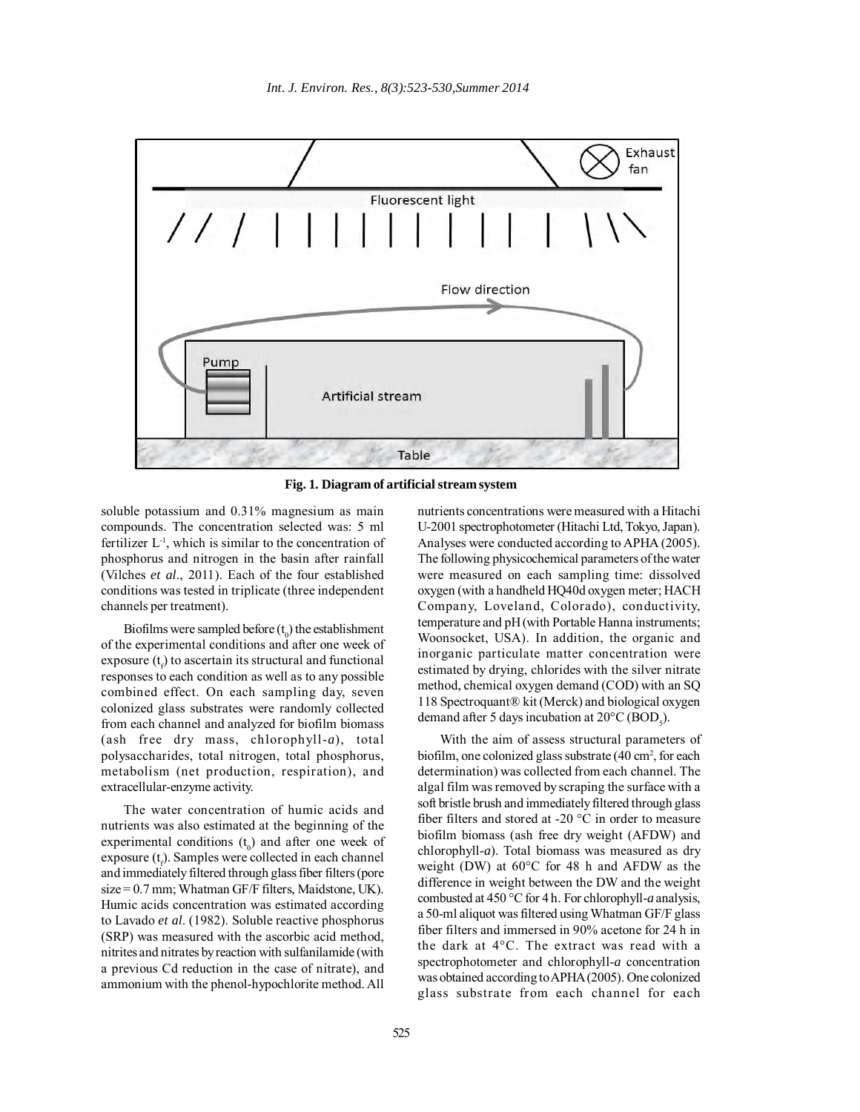

**Fig. 1. Diagram of artificial stream system**

soluble potassium and 0.31% magnesium as main compounds. The concentration selected was: 5 ml fertilizer  $L<sup>-1</sup>$ , which is similar to the concentration of phosphorus and nitrogen in the basin after rainfall (Vilches *et al*., 2011). Each of the four established conditions was tested in triplicate (three independent channels per treatment).

Biofilms were sampled before  $(t_0)$  the establishment of the experimental conditions and after one week of  $exposure(t<sub>f</sub>)$  to ascertain its structural and functional responses to each condition as well as to any possible combined effect. On each sampling day, seven colonized glass substrates were randomly collected from each channel and analyzed for biofilm biomass (ash free dry mass, chlorophyll-*a*), total polysaccharides, total nitrogen, total phosphorus, metabolism (net production, respiration), and extracellular-enzyme activity.

The water concentration of humic acids and nutrients was also estimated at the beginning of the experimental conditions  $(t_0)$  and after one week of  $exposure(t_f)$ . Samples were collected in each channel and immediately filtered through glass fiber filters (pore size = 0.7 mm; Whatman GF/F filters, Maidstone, UK). Humic acids concentration was estimated according to Lavado *et al*. (1982). Soluble reactive phosphorus (SRP) was measured with the ascorbic acid method, nitrites and nitrates by reaction with sulfanilamide (with a previous Cd reduction in the case of nitrate), and ammonium with the phenol-hypochlorite method. All

nutrients concentrations were measured with a Hitachi U-2001 spectrophotometer (Hitachi Ltd, Tokyo, Japan). Analyses were conducted according to APHA (2005). The following physicochemical parameters of the water were measured on each sampling time: dissolved oxygen (with a handheld HQ40d oxygen meter; HACH Company, Loveland, Colorado), conductivity, temperature and pH (with Portable Hanna instruments; Woonsocket, USA). In addition, the organic and inorganic particulate matter concentration were estimated by drying, chlorides with the silver nitrate method, chemical oxygen demand (COD) with an SQ 118 Spectroquant® kit (Merck) and biological oxygen demand after 5 days incubation at  $20^{\circ}$ C (BOD<sub>5</sub>).

With the aim of assess structural parameters of biofilm, one colonized glass substrate (40 cm<sup>2</sup>, for each determination) was collected from each channel. The algal film was removed by scraping the surface with a soft bristle brush and immediately filtered through glass fiber filters and stored at -20 °C in order to measure biofilm biomass (ash free dry weight (AFDW) and chlorophyll-*a*). Total biomass was measured as dry weight (DW) at 60°C for 48 h and AFDW as the difference in weight between the DW and the weight combusted at 450 °C for 4 h. For chlorophyll-*a* analysis, a 50-ml aliquot was filtered using Whatman GF/F glass fiber filters and immersed in 90% acetone for 24 h in the dark at 4°C. The extract was read with a spectrophotometer and chlorophyll-*a* concentration was obtained according to APHA (2005). One colonized glass substrate from each channel for each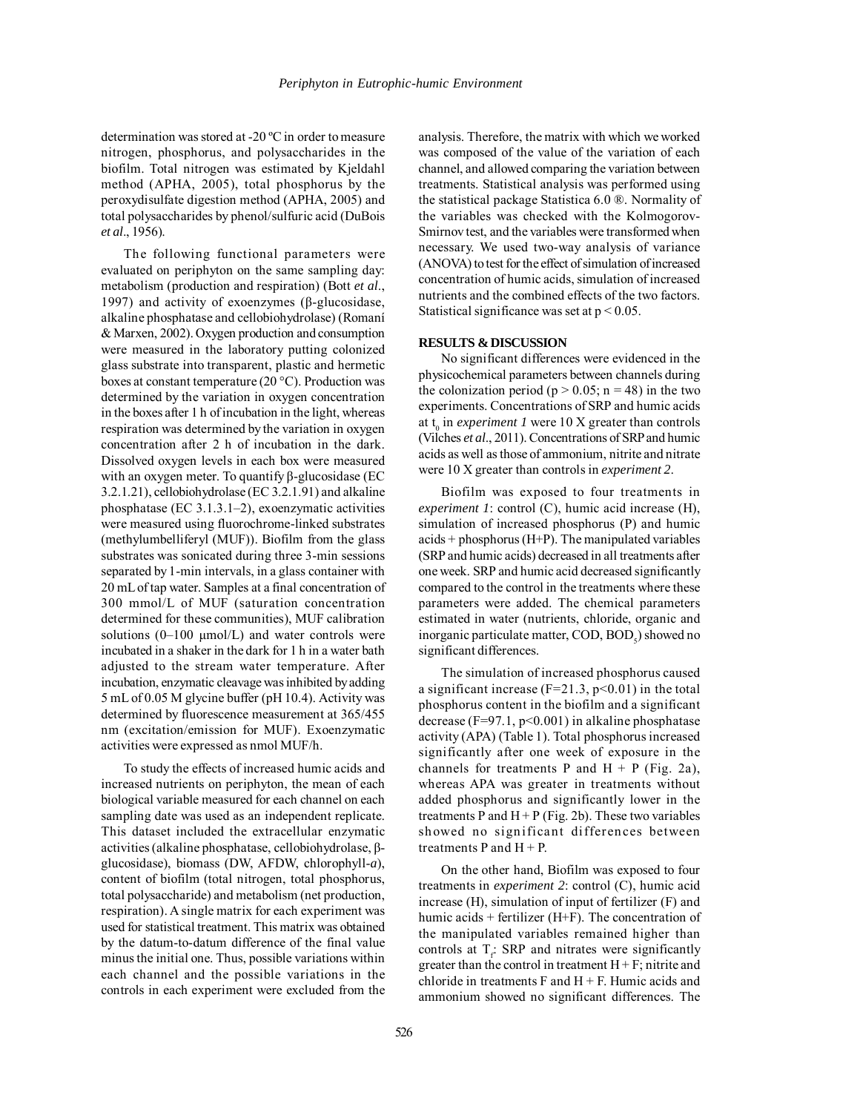determination was stored at -20 ºC in order to measure nitrogen, phosphorus, and polysaccharides in the biofilm. Total nitrogen was estimated by Kjeldahl method (APHA, 2005), total phosphorus by the peroxydisulfate digestion method (APHA, 2005) and total polysaccharides by phenol/sulfuric acid (DuBois *et al*., 1956).

The following functional parameters were evaluated on periphyton on the same sampling day: metabolism (production and respiration) (Bott *et al*., 1997) and activity of exoenzymes (β-glucosidase, alkaline phosphatase and cellobiohydrolase) (Romaní & Marxen, 2002). Oxygen production and consumption were measured in the laboratory putting colonized glass substrate into transparent, plastic and hermetic boxes at constant temperature (20 °C). Production was determined by the variation in oxygen concentration in the boxes after 1 h of incubation in the light, whereas respiration was determined by the variation in oxygen concentration after 2 h of incubation in the dark. Dissolved oxygen levels in each box were measured with an oxygen meter. To quantify β-glucosidase (EC 3.2.1.21), cellobiohydrolase (EC 3.2.1.91) and alkaline phosphatase (EC 3.1.3.1–2), exoenzymatic activities were measured using fluorochrome-linked substrates (methylumbelliferyl (MUF)). Biofilm from the glass substrates was sonicated during three 3-min sessions separated by 1-min intervals, in a glass container with 20 mL of tap water. Samples at a final concentration of 300 mmol/L of MUF (saturation concentration determined for these communities), MUF calibration solutions  $(0-100 \mu mol/L)$  and water controls were incubated in a shaker in the dark for 1 h in a water bath adjusted to the stream water temperature. After incubation, enzymatic cleavage was inhibited by adding 5 mL of 0.05 M glycine buffer (pH 10.4). Activity was determined by fluorescence measurement at 365/455 nm (excitation/emission for MUF). Exoenzymatic activities were expressed as nmol MUF/h.

To study the effects of increased humic acids and increased nutrients on periphyton, the mean of each biological variable measured for each channel on each sampling date was used as an independent replicate. This dataset included the extracellular enzymatic activities (alkaline phosphatase, cellobiohydrolase, βglucosidase), biomass (DW, AFDW, chlorophyll-*a*), content of biofilm (total nitrogen, total phosphorus, total polysaccharide) and metabolism (net production, respiration). A single matrix for each experiment was used for statistical treatment. This matrix was obtained by the datum-to-datum difference of the final value minus the initial one. Thus, possible variations within each channel and the possible variations in the controls in each experiment were excluded from the analysis. Therefore, the matrix with which we worked was composed of the value of the variation of each channel, and allowed comparing the variation between treatments. Statistical analysis was performed using the statistical package Statistica 6.0 ®. Normality of the variables was checked with the Kolmogorov-Smirnov test, and the variables were transformed when necessary. We used two-way analysis of variance (ANOVA) to test for the effect of simulation of increased concentration of humic acids, simulation of increased nutrients and the combined effects of the two factors. Statistical significance was set at  $p < 0.05$ .

### **RESULTS & DISCUSSION**

No significant differences were evidenced in the physicochemical parameters between channels during the colonization period ( $p > 0.05$ ; n = 48) in the two experiments. Concentrations of SRP and humic acids at  $t_0$  in *experiment 1* were 10 X greater than controls (Vilches *et al*., 2011). Concentrations of SRP and humic acids as well as those of ammonium, nitrite and nitrate were 10 X greater than controls in *experiment 2*.

Biofilm was exposed to four treatments in *experiment 1*: control (C), humic acid increase (H), simulation of increased phosphorus (P) and humic acids + phosphorus (H+P). The manipulated variables (SRP and humic acids) decreased in all treatments after one week. SRP and humic acid decreased significantly compared to the control in the treatments where these parameters were added. The chemical parameters estimated in water (nutrients, chloride, organic and inorganic particulate matter,  $\text{COD}, \text{BOD}_5$ ) showed no significant differences.

The simulation of increased phosphorus caused a significant increase  $(F=21.3, p<0.01)$  in the total phosphorus content in the biofilm and a significant decrease ( $F=97.1$ ,  $p<0.001$ ) in alkaline phosphatase activity (APA) (Table 1). Total phosphorus increased significantly after one week of exposure in the channels for treatments P and  $H + P$  (Fig. 2a), whereas APA was greater in treatments without added phosphorus and significantly lower in the treatments P and  $H + P$  (Fig. 2b). These two variables showed no significant differences between treatments  $P$  and  $H + P$ .

On the other hand, Biofilm was exposed to four treatments in *experiment 2*: control (C), humic acid increase (H), simulation of input of fertilizer (F) and humic acids + fertilizer (H+F). The concentration of the manipulated variables remained higher than controls at  $T_f$ : SRP and nitrates were significantly greater than the control in treatment  $H + F$ ; nitrite and chloride in treatments  $F$  and  $H + F$ . Humic acids and ammonium showed no significant differences. The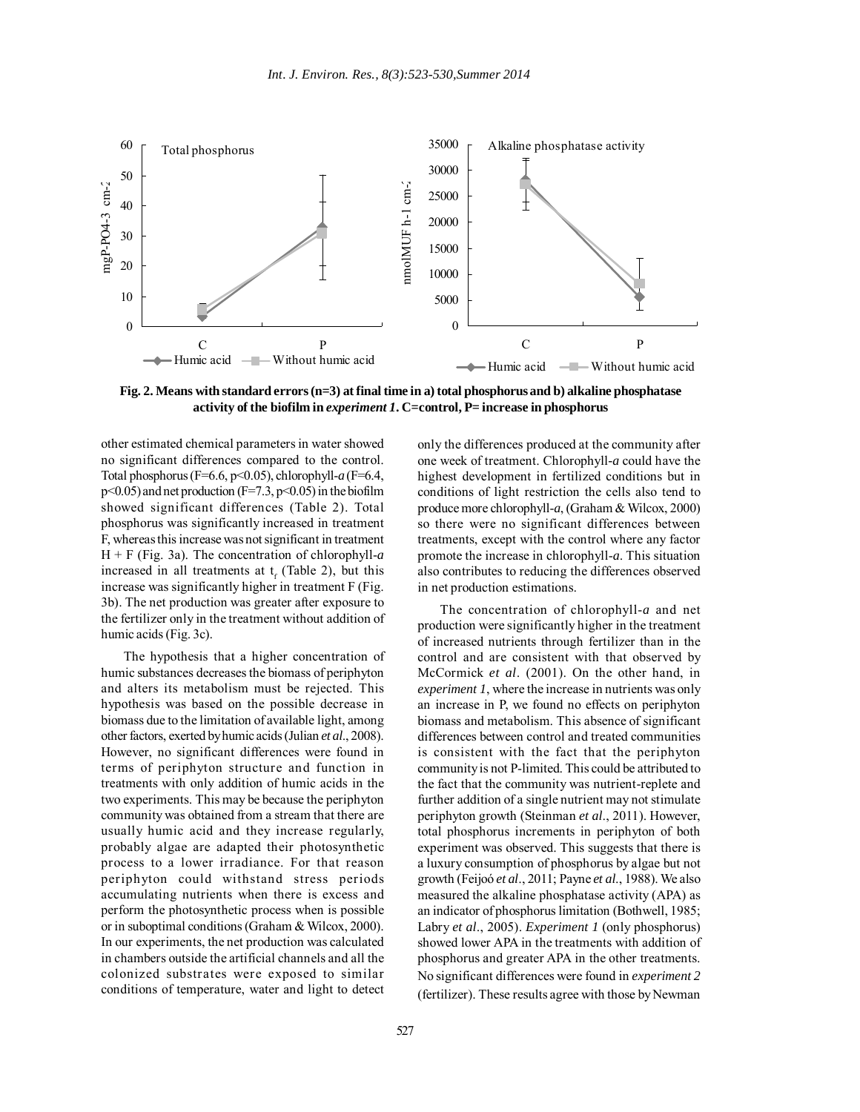

**Fig. 2. Means with standard errors (n=3) at final time in a) total phosphorus and b) alkaline phosphatase activity of the biofilm in** *experiment 1***. C=control, P= increase in phosphorus**

other estimated chemical parameters in water showed no significant differences compared to the control. Total phosphorus (F=6.6, p<0.05), chlorophyll-*a* (F=6.4,  $p<0.05$ ) and net production (F=7.3,  $p<0.05$ ) in the biofilm showed significant differences (Table 2). Total phosphorus was significantly increased in treatment F, whereas this increase was not significant in treatment H + F (Fig. 3a). The concentration of chlorophyll-*a* increased in all treatments at  $t_f$  (Table 2), but this increase was significantly higher in treatment F (Fig. 3b). The net production was greater after exposure to the fertilizer only in the treatment without addition of humic acids (Fig. 3c).

The hypothesis that a higher concentration of humic substances decreases the biomass of periphyton and alters its metabolism must be rejected. This hypothesis was based on the possible decrease in biomass due to the limitation of available light, among other factors, exerted by humic acids (Julian *et al*., 2008). However, no significant differences were found in terms of periphyton structure and function in treatments with only addition of humic acids in the two experiments. This may be because the periphyton community was obtained from a stream that there are usually humic acid and they increase regularly, probably algae are adapted their photosynthetic process to a lower irradiance. For that reason periphyton could withstand stress periods accumulating nutrients when there is excess and perform the photosynthetic process when is possible or in suboptimal conditions (Graham & Wilcox, 2000). In our experiments, the net production was calculated in chambers outside the artificial channels and all the colonized substrates were exposed to similar conditions of temperature, water and light to detect

only the differences produced at the community after one week of treatment. Chlorophyll*-a* could have the highest development in fertilized conditions but in conditions of light restriction the cells also tend to produce more chlorophyll-*a*, (Graham & Wilcox, 2000) so there were no significant differences between treatments, except with the control where any factor promote the increase in chlorophyll-*a*. This situation also contributes to reducing the differences observed in net production estimations.

The concentration of chlorophyll-*a* and net production were significantly higher in the treatment of increased nutrients through fertilizer than in the control and are consistent with that observed by McCormick *et al*. (2001). On the other hand, in *experiment 1*, where the increase in nutrients was only an increase in P, we found no effects on periphyton biomass and metabolism. This absence of significant differences between control and treated communities is consistent with the fact that the periphyton community is not P-limited. This could be attributed to the fact that the community was nutrient-replete and further addition of a single nutrient may not stimulate periphyton growth (Steinman *et al*., 2011). However, total phosphorus increments in periphyton of both experiment was observed. This suggests that there is a luxury consumption of phosphorus by algae but not growth (Feijoó *et al*., 2011; Payne *et al*., 1988). We also measured the alkaline phosphatase activity (APA) as an indicator of phosphorus limitation (Bothwell, 1985; Labry *et al*., 2005). *Experiment 1* (only phosphorus) showed lower APA in the treatments with addition of phosphorus and greater APA in the other treatments. No significant differences were found in *experiment 2* (fertilizer). These results agree with those by Newman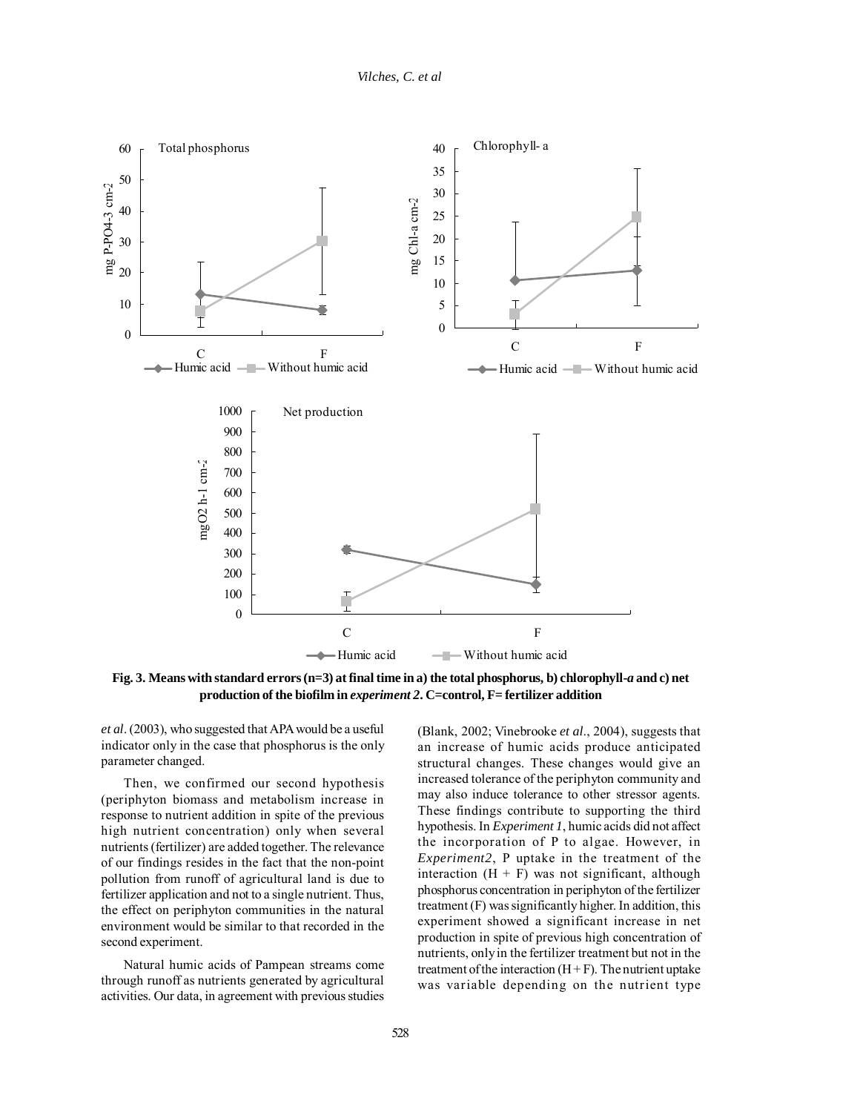

**Fig. 3. Means with standard errors (n=3) at final time in a) the total phosphorus, b) chlorophyll-***a* **and c) net production of the biofilm in** *experiment 2***. C=control, F= fertilizer addition**

*et al*. (2003), who suggested that APA would be a useful indicator only in the case that phosphorus is the only parameter changed.

Then, we confirmed our second hypothesis (periphyton biomass and metabolism increase in response to nutrient addition in spite of the previous high nutrient concentration) only when several nutrients (fertilizer) are added together. The relevance of our findings resides in the fact that the non-point pollution from runoff of agricultural land is due to fertilizer application and not to a single nutrient. Thus, the effect on periphyton communities in the natural environment would be similar to that recorded in the second experiment.

Natural humic acids of Pampean streams come through runoff as nutrients generated by agricultural activities. Our data, in agreement with previous studies

(Blank, 2002; Vinebrooke *et al*., 2004), suggests that an increase of humic acids produce anticipated structural changes. These changes would give an increased tolerance of the periphyton community and may also induce tolerance to other stressor agents. These findings contribute to supporting the third hypothesis. In *Experiment 1*, humic acids did not affect the incorporation of P to algae. However, in *Experiment2*, P uptake in the treatment of the interaction  $(H + F)$  was not significant, although phosphorus concentration in periphyton of the fertilizer treatment (F) was significantly higher. In addition, this experiment showed a significant increase in net production in spite of previous high concentration of nutrients, only in the fertilizer treatment but not in the treatment of the interaction  $(H + F)$ . The nutrient uptake was variable depending on the nutrient type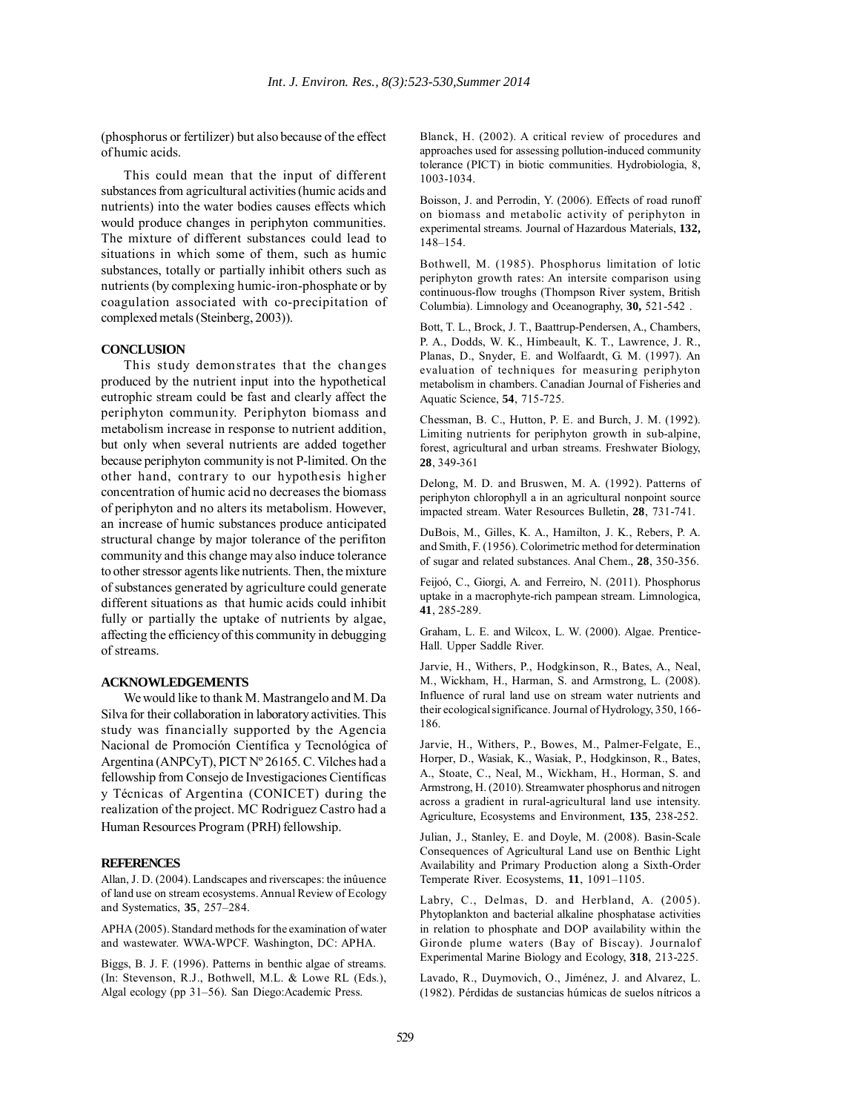(phosphorus or fertilizer) but also because of the effect of humic acids.

This could mean that the input of different substances from agricultural activities (humic acids and nutrients) into the water bodies causes effects which would produce changes in periphyton communities. The mixture of different substances could lead to situations in which some of them, such as humic substances, totally or partially inhibit others such as nutrients (by complexing humic-iron-phosphate or by coagulation associated with co-precipitation of complexed metals (Steinberg, 2003)).

## **CONCLUSION**

This study demonstrates that the changes produced by the nutrient input into the hypothetical eutrophic stream could be fast and clearly affect the periphyton community. Periphyton biomass and metabolism increase in response to nutrient addition, but only when several nutrients are added together because periphyton community is not P-limited. On the other hand, contrary to our hypothesis higher concentration of humic acid no decreases the biomass of periphyton and no alters its metabolism. However, an increase of humic substances produce anticipated structural change by major tolerance of the perifiton community and this change may also induce tolerance to other stressor agents like nutrients. Then, the mixture of substances generated by agriculture could generate different situations as that humic acids could inhibit fully or partially the uptake of nutrients by algae, affecting the efficiency of this community in debugging of streams.

### **ACKNOWLEDGEMENTS**

We would like to thank M. Mastrangelo and M. Da Silva for their collaboration in laboratory activities. This study was financially supported by the Agencia Nacional de Promoción Científica y Tecnológica of Argentina (ANPCyT), PICT Nº 26165. C. Vilches had a fellowship from Consejo de Investigaciones Científicas y Técnicas of Argentina (CONICET) during the realization of the project. MC Rodriguez Castro had a Human Resources Program (PRH) fellowship.

#### **REFERENCES**

Allan, J. D. (2004). Landscapes and riverscapes: the inûuence of land use on stream ecosystems. Annual Review of Ecology and Systematics, **35**, 257–284.

APHA (2005). Standard methods for the examination of water and wastewater. WWA-WPCF. Washington, DC: APHA.

Biggs, B. J. F. (1996). Patterns in benthic algae of streams. (In: Stevenson, R.J., Bothwell, M.L. & Lowe RL (Eds.), Algal ecology (pp 31–56). San Diego:Academic Press.

Blanck, H. (2002). A critical review of procedures and approaches used for assessing pollution-induced community tolerance (PICT) in biotic communities. Hydrobiologia, 8, 1003-1034.

Boisson, J. and Perrodin, Y. (2006). Effects of road runoff on biomass and metabolic activity of periphyton in experimental streams. Journal of Hazardous Materials, **132,** 148–154.

Bothwell, M. (1985). Phosphorus limitation of lotic periphyton growth rates: An intersite comparison using continuous-flow troughs (Thompson River system, British Columbia). Limnology and Oceanography, **30,** 521-542 .

Bott, T. L., Brock, J. T., Baattrup-Pendersen, A., Chambers, P. A., Dodds, W. K., Himbeault, K. T., Lawrence, J. R., Planas, D., Snyder, E. and Wolfaardt, G. M. (1997). An evaluation of techniques for measuring periphyton metabolism in chambers. Canadian Journal of Fisheries and Aquatic Science, **54**, 715-725.

Chessman, B. C., Hutton, P. E. and Burch, J. M. (1992). Limiting nutrients for periphyton growth in sub-alpine, forest, agricultural and urban streams. Freshwater Biology, **28**, 349-361

Delong, M. D. and Bruswen, M. A. (1992). Patterns of periphyton chlorophyll a in an agricultural nonpoint source impacted stream. Water Resources Bulletin, **28**, 731-741.

DuBois, M., Gilles, K. A., Hamilton, J. K., Rebers, P. A. and Smith, F. (1956). Colorimetric method for determination of sugar and related substances. Anal Chem., **28**, 350-356.

Feijoó, C., Giorgi, A. and Ferreiro, N. (2011). Phosphorus uptake in a macrophyte-rich pampean stream. Limnologica, **41**, 285-289.

Graham, L. E. and Wilcox, L. W. (2000). Algae. Prentice-Hall. Upper Saddle River.

Jarvie, H., Withers, P., Hodgkinson, R., Bates, A., Neal, M., Wickham, H., Harman, S. and Armstrong, L. (2008). Influence of rural land use on stream water nutrients and their ecological significance. Journal of Hydrology, 350, 166- 186.

Jarvie, H., Withers, P., Bowes, M., Palmer-Felgate, E., Horper, D., Wasiak, K., Wasiak, P., Hodgkinson, R., Bates, A., Stoate, C., Neal, M., Wickham, H., Horman, S. and Armstrong, H. (2010). Streamwater phosphorus and nitrogen across a gradient in rural-agricultural land use intensity. Agriculture, Ecosystems and Environment, **135**, 238-252.

Julian, J., Stanley, E. and Doyle, M. (2008). Basin-Scale Consequences of Agricultural Land use on Benthic Light Availability and Primary Production along a Sixth-Order Temperate River. Ecosystems, **11**, 1091–1105.

Labry, C., Delmas, D. and Herbland, A. (2005). Phytoplankton and bacterial alkaline phosphatase activities in relation to phosphate and DOP availability within the Gironde plume waters (Bay of Biscay). Journalof Experimental Marine Biology and Ecology, **318**, 213-225.

Lavado, R., Duymovich, O., Jiménez, J. and Alvarez, L. (1982). Pérdidas de sustancias húmicas de suelos nítricos a